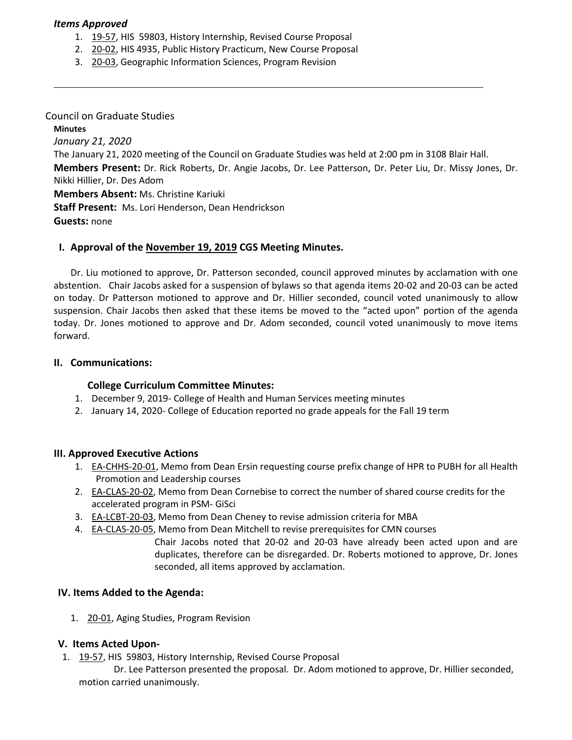### *Items Approved*

- 1. [19-57,](http://castle.eiu.edu/eiucgs/currentagendaitems/agenda19-57.pdf) HIS 59803, History Internship, Revised Course Proposal
- 2. [20-02,](http://castle.eiu.edu/eiucgs/currentagendaitems/agenda20-02.pdf) HIS 4935, Public History Practicum, New Course Proposal
- 3. [20-03,](http://castle.eiu.edu/eiucgs/currentagendaitems/agenda20-03.pdf) Geographic Information Sciences, Program Revision

Council on Graduate Studies **Minutes** *January 21, 2020* The January 21, 2020 meeting of the Council on Graduate Studies was held at 2:00 pm in 3108 Blair Hall. **Members Present:** Dr. Rick Roberts, Dr. Angie Jacobs, Dr. Lee Patterson, Dr. Peter Liu, Dr. Missy Jones, Dr. Nikki Hillier, Dr. Des Adom **Members Absent:** Ms. Christine Kariuki **Staff Present:** Ms. Lori Henderson, Dean Hendrickson **Guests:** none

### **I. Approval of the [November 19,](http://castle.eiu.edu/eiucgs/currentminutes/Minutes11-19-19.pdf) 2019 CGS Meeting Minutes.**

Dr. Liu motioned to approve, Dr. Patterson seconded, council approved minutes by acclamation with one abstention. Chair Jacobs asked for a suspension of bylaws so that agenda items 20-02 and 20-03 can be acted on today. Dr Patterson motioned to approve and Dr. Hillier seconded, council voted unanimously to allow suspension. Chair Jacobs then asked that these items be moved to the "acted upon" portion of the agenda today. Dr. Jones motioned to approve and Dr. Adom seconded, council voted unanimously to move items forward.

#### **II. Communications:**

### **College Curriculum Committee Minutes:**

- 1. December 9, 2019- College of Health and Human Services meeting minutes
- 2. January 14, 2020- College of Education reported no grade appeals for the Fall 19 term

#### **III. Approved Executive Actions**

- 1. **EA-CHHS-20-01**, Memo from Dean Ersin requesting course prefix change of HPR to PUBH for all Health Promotion and Leadership courses
- 2. [EA-CLAS-20-02,](http://castle.eiu.edu/eiucgs/exec-actions/EA-CLAS-20-02.pdf) Memo from Dean Cornebise to correct the number of shared course credits for the accelerated program in PSM- GiSci
- 3. [EA-LCBT-20-03](http://castle.eiu.edu/eiucgs/exec-actions/EA-LCBT-20-03.pdf), Memo from Dean Cheney to revise admission criteria for MBA
- 4. [EA-CLAS-20-05,](http://castle.eiu.edu/eiucgs/exec-actions/EA-CLAS-20-05.pdf) Memo from Dean Mitchell to revise prerequisites for CMN courses
	- Chair Jacobs noted that 20-02 and 20-03 have already been acted upon and are duplicates, therefore can be disregarded. Dr. Roberts motioned to approve, Dr. Jones seconded, all items approved by acclamation.

### **IV. Items Added to the Agenda:**

1. [20-01](http://castle.eiu.edu/eiucgs/currentagendaitems/agenda20-01.pdf), Aging Studies, Program Revision

### **V. Items Acted Upon-**

1. [19-57, H](http://castle.eiu.edu/eiucgs/currentagendaitems/agenda19-57.pdf)IS 59803, History Internship, Revised Course Proposal

 Dr. Lee Patterson presented the proposal. Dr. Adom motioned to approve, Dr. Hillier seconded, motion carried unanimously.